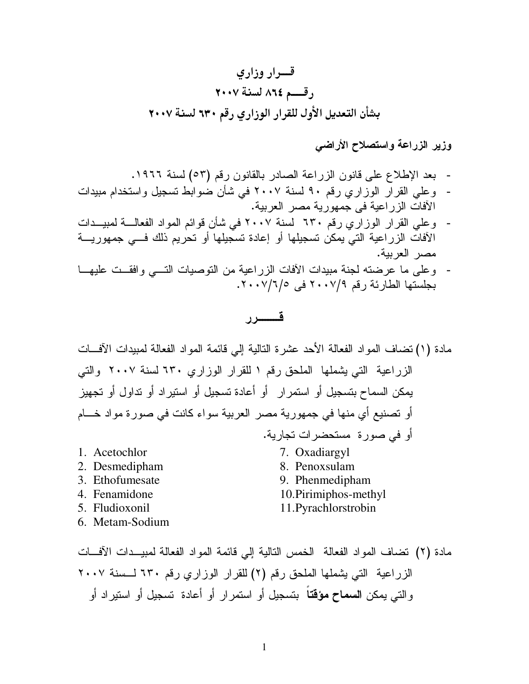وزير الزراعة واستصلاح الأراضي

- بعد الإطلاع على قانون الزراعة الصادر بالقانون رقم (٥٣) لسنة ١٩٦٦.
- وعلى القرار الوزاري رقم ٩٠ لسنة ٢٠٠٧ في شأن ضوابط تسجيل واستخدام مبيدات الآفات الزر اعية في جمهورية مصر العربية.
- وعلى القرار الوزاري رقم ٦٣٠ لسنة ٢٠٠٧ في شأن قوائم المواد الفعالـــة لمبيــدات الأفات الزراعية التي يمكن تسجيلها أو إعادة تسجيلها أو تحريم ذلك فـــي جمهوريــــة مصر العربية.
- وعلى ما عرضته لجنة مبيدات الأفات الزراعية من التوصيات التسي وافقــت عليهــا بجلستها الطارئة رقم ٢٠٠٧/٩ في ١٦/٧/٧٠٠٧.

## قـــــــرر

مادة (١) نضاف المواد الفعالة الأحد عشرة النالية إلى قائمة المواد الفعالة لمبيدات الأفـــات الزر اعية التي يشملها الملحق رقم ١ للقرار الوزاري ٦٣٠ لسنة ٢٠٠٧ والتي يمكن السماح بتسجيل أو استمرار أو أعادة تسجيل أو استيراد أو تداول أو تجهيز أو تصنيع أي منها في جمهورية مصر العربية سواء كانت في صورة مواد خـــام أو في صورة مستحضرات تجارية. 1. Acetochlor 7. Oxadiargyl 2. Desmedipham 8. Penoxsulam 3. Ethofumesate 9. Phenmedipham 4. Fenamidone 10. Pirimiphos-methyl 11. Pyrachlorstrobin 5. Fludioxonil 6. Metam-Sodium

مادة (٢) تضاف المواد الفعالة الخمس النالية إلى قائمة المواد الفعالة لمبيــدات الآفــات الزراعية التي يشملها الملحق رقم (٢) للقرار الوزاري رقم ٦٣٠ لـسنة ٢٠٠٧ و التي يمكن ا**لسماح مؤقت**اً بتسجيل أو استمر ار أو أعادة تسجيل أو استير اد أو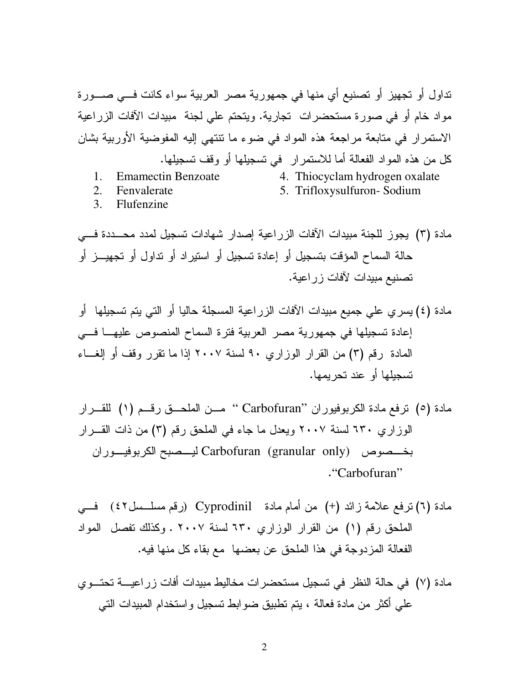نداول أو تجهيز أو تصنيع أي منها في جمهورية مصر العربية سواء كانت فـــي صــــورة مواد خام أو في صورة مستحضرات تجارية. ويتحتم على لجنة مبيدات الآفات الزراعية الاستمرار في متابعة مراجعة هذه المواد في ضوء ما نتتهى إليه المفوضية الأوربية بشان كل من هذه المواد الفعالة أما للاستمرار ً في تسجيلها أو وقف تسجيلها.

**Emamectin Benzoate**  $1.$ 

4. Thiocyclam hydrogen oxalate

 $2.$ Fenvalerate 5. Trifloxysulfuron-Sodium

 $3.$ Flufenzine

مادة (٣) يجوز للجنة مبيدات الآفات الزراعية إصدار شهادات تسجيل لمدد محـــددة فــــى حالة السماح المؤقت بتسجيل أو إعادة تسجيل أو استير اد أو نداول أو تجهيـــز أو تصنيع مبيدات لآفات زر اعية.

مادة (٤) يسري على جميع مبيدات الآفات الزراعية المسجلة حاليا أو التي يتم تسجيلها ۖ أو إعادة تسجيلها في جمهورية مصر العربية فترة السماح المنصوص عليهـا فــي المعادة رقم (٣) من القر ار الوز ار ي ٩٠ لسنة ٢٠٠٧ إذا ما تقر ر وقف أو إلغــاء تسجيلها أو عند تحر بمها.

مادة (٥) ترفع مادة الكربوفيوران "Carbofuran" مــن الملحــق رقــم (١) للقـــرار الوزاري ٦٣٠ لسنة ٢٠٠٧ ويعدل ما جاء في الملحق رقم (٣) من ذات القـــرار بخـــصوص Carbofuran (granular only) ليـــصبح الكربوفيـــوران "Carbofuran"

مادة (٦) نرفع علامة زائد (+) من أمام مادة Cyprodinil (رقم مسلـــسل٤٢) فـــي الملحق رقم (١) من القرار الوزاري ٦٣٠ لسنة ٢٠٠٧ . وكذلك تفصل المواد الفعالة المزدوجة في هذا الملحق عن بعضها مع بقاء كل منها فيه.

مادة (٧) في حالة النظر في تسجيل مستحضرات مخاليط مبيدات أفات زراعيــــة تحتـــوي علمي أكثر من مادة فعالة ، بنم نطبيق ضوابط نسجيل واستخدام المبيدات النبي